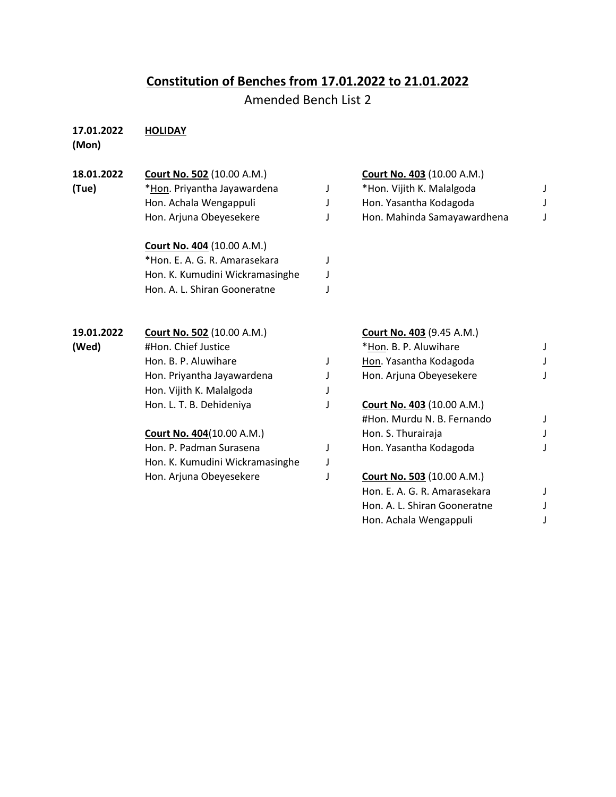## **Constitution of Benches from 17.01.2022 to 21.01.2022**

Amended Bench List 2

## **17.01.2022 HOLIDAY**

**(Mon)**

| 18.01.2022 | Court No. 502 (10.00 A.M.)        |   | Court No. 403 (10.00 A.M.)        |  |
|------------|-----------------------------------|---|-----------------------------------|--|
| (Tue)      | *Hon. Priyantha Jayawardena       |   | *Hon. Vijith K. Malalgoda         |  |
|            | Hon. Achala Wengappuli            |   | Hon. Yasantha Kodagoda            |  |
|            | Hon. Arjuna Obeyesekere           |   | Hon. Mahinda Samayawardhena       |  |
|            | <b>Court No. 404 (10.00 A.M.)</b> |   |                                   |  |
|            | *Hon. E. A. G. R. Amarasekara     |   |                                   |  |
|            | Hon. K. Kumudini Wickramasinghe   |   |                                   |  |
|            | Hon. A. L. Shiran Gooneratne      |   |                                   |  |
| 19.01.2022 | <b>Court No. 502 (10.00 A.M.)</b> |   | <b>Court No. 403 (9.45 A.M.)</b>  |  |
| (Wed)      | #Hon. Chief Justice               |   | *Hon. B. P. Aluwihare             |  |
|            | Hon. B. P. Aluwihare              |   | Hon. Yasantha Kodagoda            |  |
|            | Hon. Priyantha Jayawardena        |   | Hon. Arjuna Obeyesekere           |  |
|            | Hon. Vijith K. Malalgoda          |   |                                   |  |
|            | Hon. L. T. B. Dehideniya          |   | Court No. 403 (10.00 A.M.)        |  |
|            |                                   |   | #Hon. Murdu N. B. Fernando        |  |
|            | <b>Court No. 404 (10.00 A.M.)</b> |   | Hon. S. Thurairaja                |  |
|            | Hon. P. Padman Surasena           | J | Hon. Yasantha Kodagoda            |  |
|            | Hon. K. Kumudini Wickramasinghe   |   |                                   |  |
|            | Hon. Arjuna Obeyesekere           |   | <b>Court No. 503 (10.00 A.M.)</b> |  |
|            |                                   |   | Hon. E. A. G. R. Amarasekara      |  |
|            |                                   |   | Hon. A. L. Shiran Gooneratne      |  |
|            |                                   |   | Hon. Achala Wengappuli            |  |